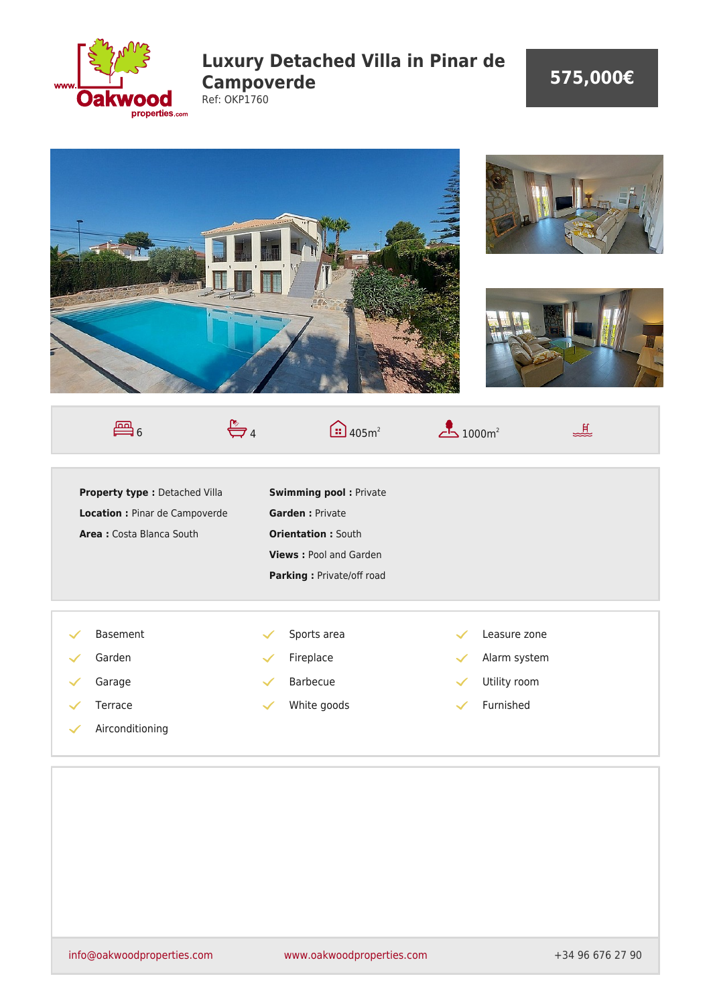

## **Luxury Detached Villa in Pinar de Campoverde** Ref: OKP1760

## **575,000€**